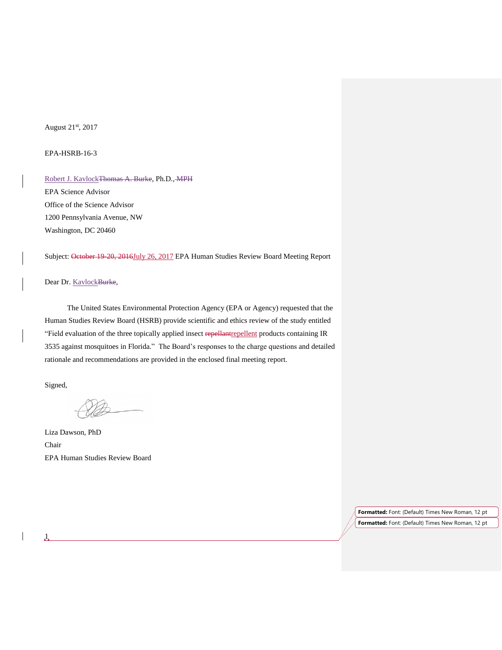# August 21st, 2017

## EPA-HSRB-16-3

Robert J. Kavlock Thomas A. Burke, Ph.D., MPH EPA Science Advisor Office of the Science Advisor 1200 Pennsylvania Avenue, NW Washington, DC 20460

Subject: October 19-20, 2016July 26, 2017 EPA Human Studies Review Board Meeting Report

## Dear Dr. KavlockBurke,

The United States Environmental Protection Agency (EPA or Agency) requested that the Human Studies Review Board (HSRB) provide scientific and ethics review of the study entitled "Field evaluation of the three topically applied insect repellantrepellent products containing IR 3535 against mosquitoes in Florida." The Board's responses to the charge questions and detailed rationale and recommendations are provided in the enclosed final meeting report.

Signed,

 $\mathbf{1}$ 

Liza Dawson, PhD Chair EPA Human Studies Review Board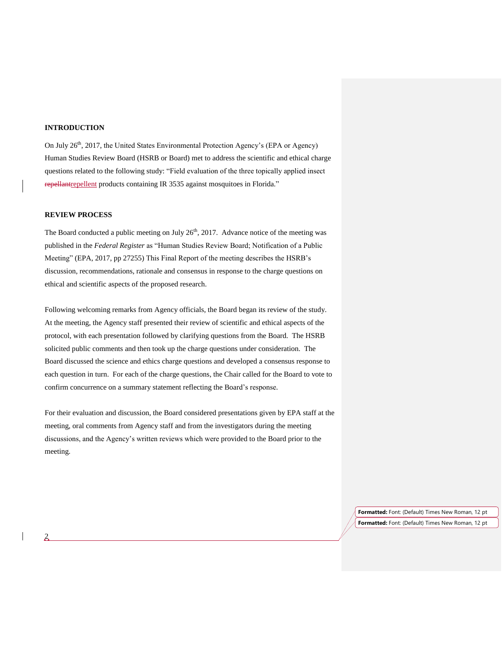# **INTRODUCTION**

On July 26<sup>th</sup>, 2017, the United States Environmental Protection Agency's (EPA or Agency) Human Studies Review Board (HSRB or Board) met to address the scientific and ethical charge questions related to the following study: "Field evaluation of the three topically applied insect repellantrepellent products containing IR 3535 against mosquitoes in Florida."

## **REVIEW PROCESS**

2

The Board conducted a public meeting on July  $26<sup>th</sup>$ , 2017. Advance notice of the meeting was published in the *Federal Register* as "Human Studies Review Board; Notification of a Public Meeting" (EPA, 2017, pp 27255) This Final Report of the meeting describes the HSRB's discussion, recommendations, rationale and consensus in response to the charge questions on ethical and scientific aspects of the proposed research.

Following welcoming remarks from Agency officials, the Board began its review of the study. At the meeting, the Agency staff presented their review of scientific and ethical aspects of the protocol, with each presentation followed by clarifying questions from the Board. The HSRB solicited public comments and then took up the charge questions under consideration. The Board discussed the science and ethics charge questions and developed a consensus response to each question in turn. For each of the charge questions, the Chair called for the Board to vote to confirm concurrence on a summary statement reflecting the Board's response.

For their evaluation and discussion, the Board considered presentations given by EPA staff at the meeting, oral comments from Agency staff and from the investigators during the meeting discussions, and the Agency's written reviews which were provided to the Board prior to the meeting.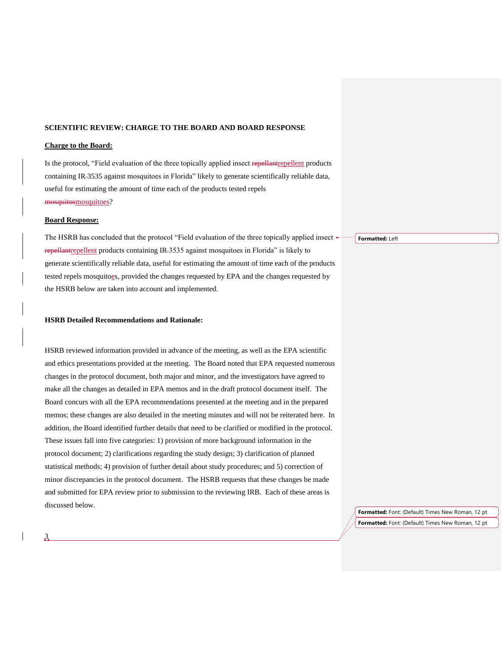#### **SCIENTIFIC REVIEW: CHARGE TO THE BOARD AND BOARD RESPONSE**

## **Charge to the Board:**

Is the protocol, "Field evaluation of the three topically applied insect repellantrepellent products containing IR 3535 against mosquitoes in Florida" likely to generate scientifically reliable data, useful for estimating the amount of time each of the products tested repels mosquitosmosquitoes?

#### **Board Response:**

The HSRB has concluded that the protocol "Field evaluation of the three topically applied insect  $\leftarrow$ repellantrepellent products containing IR-3535 against mosquitoes in Florida" is likely to generate scientifically reliable data, useful for estimating the amount of time each of the products tested repels mosquitoes, provided the changes requested by EPA and the changes requested by the HSRB below are taken into account and implemented.

#### **HSRB Detailed Recommendations and Rationale:**

HSRB reviewed information provided in advance of the meeting, as well as the EPA scientific and ethics presentations provided at the meeting. The Board noted that EPA requested numerous changes in the protocol document, both major and minor, and the investigators have agreed to make all the changes as detailed in EPA memos and in the draft protocol document itself. The Board concurs with all the EPA recommendations presented at the meeting and in the prepared memos; these changes are also detailed in the meeting minutes and will not be reiterated here. In addition, the Board identified further details that need to be clarified or modified in the protocol. These issues fall into five categories: 1) provision of more background information in the protocol document; 2) clarifications regarding the study design; 3) clarification of planned statistical methods; 4) provision of further detail about study procedures; and 5) correction of minor discrepancies in the protocol document. The HSRB requests that these changes be made and submitted for EPA review prior to submission to the reviewing IRB. Each of these areas is discussed below.

**Formatted:** Left

**Formatted:** Font: (Default) Times New Roman, 12 pt **Formatted:** Font: (Default) Times New Roman, 12 pt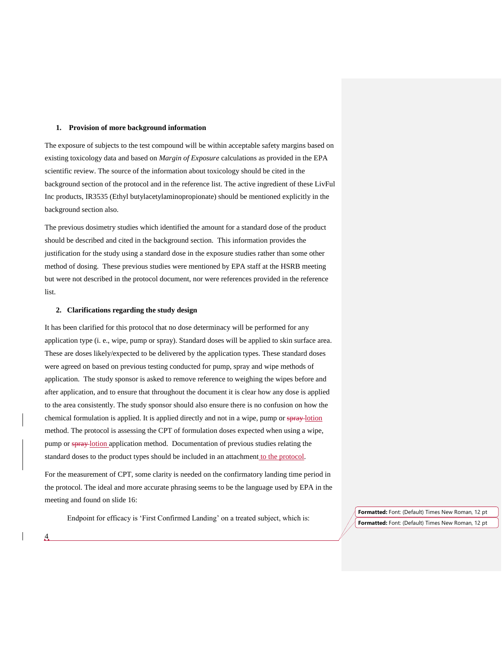#### **1. Provision of more background information**

The exposure of subjects to the test compound will be within acceptable safety margins based on existing toxicology data and based on *Margin of Exposure* calculations as provided in the EPA scientific review. The source of the information about toxicology should be cited in the background section of the protocol and in the reference list. The active ingredient of these LivFul Inc products, IR3535 (Ethyl butylacetylaminopropionate) should be mentioned explicitly in the background section also.

The previous dosimetry studies which identified the amount for a standard dose of the product should be described and cited in the background section. This information provides the justification for the study using a standard dose in the exposure studies rather than some other method of dosing. These previous studies were mentioned by EPA staff at the HSRB meeting but were not described in the protocol document, nor were references provided in the reference list.

## **2. Clarifications regarding the study design**

4

It has been clarified for this protocol that no dose determinacy will be performed for any application type (i. e., wipe, pump or spray). Standard doses will be applied to skin surface area. These are doses likely/expected to be delivered by the application types. These standard doses were agreed on based on previous testing conducted for pump, spray and wipe methods of application. The study sponsor is asked to remove reference to weighing the wipes before and after application, and to ensure that throughout the document it is clear how any dose is applied to the area consistently. The study sponsor should also ensure there is no confusion on how the chemical formulation is applied. It is applied directly and not in a wipe, pump or spray-lotion method. The protocol is assessing the CPT of formulation doses expected when using a wipe, pump or spray-lotion application method. Documentation of previous studies relating the standard doses to the product types should be included in an attachment to the protocol.

For the measurement of CPT, some clarity is needed on the confirmatory landing time period in the protocol. The ideal and more accurate phrasing seems to be the language used by EPA in the meeting and found on slide 16:

Endpoint for efficacy is 'First Confirmed Landing' on a treated subject, which is: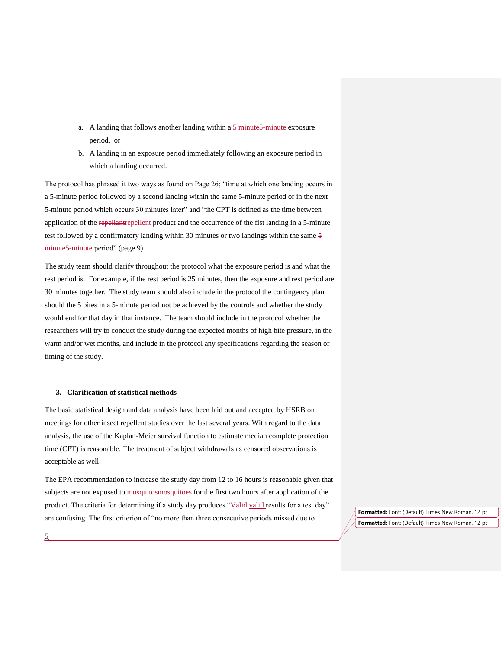- a. A landing that follows another landing within a  $\frac{5 \text{ minute}}{5 \text{ minute}}$  exposure period,- or
- b. A landing in an exposure period immediately following an exposure period in which a landing occurred.

The protocol has phrased it two ways as found on Page 26; "time at which one landing occurs in a 5-minute period followed by a second landing within the same 5-minute period or in the next 5-minute period which occurs 30 minutes later" and "the CPT is defined as the time between application of the repellant repellent product and the occurrence of the fist landing in a 5-minute test followed by a confirmatory landing within 30 minutes or two landings within the same 5 minute<sub>5</sub>-minute period" (page 9).

The study team should clarify throughout the protocol what the exposure period is and what the rest period is. For example, if the rest period is 25 minutes, then the exposure and rest period are 30 minutes together. The study team should also include in the protocol the contingency plan should the 5 bites in a 5-minute period not be achieved by the controls and whether the study would end for that day in that instance. The team should include in the protocol whether the researchers will try to conduct the study during the expected months of high bite pressure, in the warm and/or wet months, and include in the protocol any specifications regarding the season or timing of the study.

## **3. Clarification of statistical methods**

The basic statistical design and data analysis have been laid out and accepted by HSRB on meetings for other insect repellent studies over the last several years. With regard to the data analysis, the use of the Kaplan-Meier survival function to estimate median complete protection time (CPT) is reasonable. The treatment of subject withdrawals as censored observations is acceptable as well.

The EPA recommendation to increase the study day from 12 to 16 hours is reasonable given that subjects are not exposed to mosquitosmosquitoes for the first two hours after application of the product. The criteria for determining if a study day produces "Valid-valid results for a test day" are confusing. The first criterion of "no more than three consecutive periods missed due to

**Formatted:** Font: (Default) Times New Roman, 12 pt **Formatted:** Font: (Default) Times New Roman, 12 pt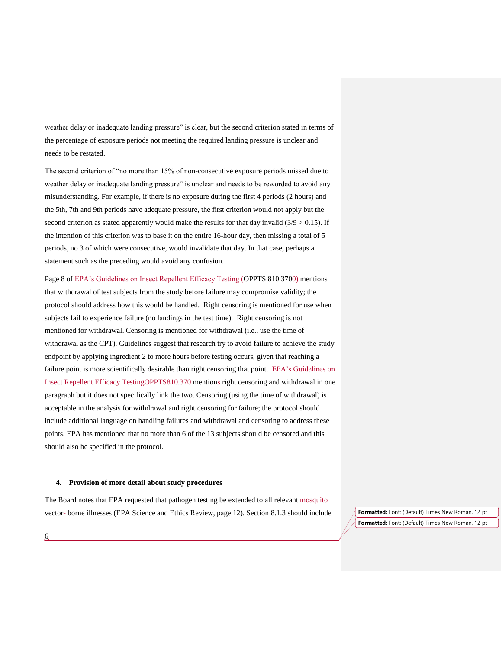weather delay or inadequate landing pressure" is clear, but the second criterion stated in terms of the percentage of exposure periods not meeting the required landing pressure is unclear and needs to be restated.

The second criterion of "no more than 15% of non-consecutive exposure periods missed due to weather delay or inadequate landing pressure" is unclear and needs to be reworded to avoid any misunderstanding. For example, if there is no exposure during the first 4 periods (2 hours) and the 5th, 7th and 9th periods have adequate pressure, the first criterion would not apply but the second criterion as stated apparently would make the results for that day invalid  $(3/9 > 0.15)$ . If the intention of this criterion was to base it on the entire 16-hour day, then missing a total of 5 periods, no 3 of which were consecutive, would invalidate that day. In that case, perhaps a statement such as the preceding would avoid any confusion.

Page 8 of EPA's Guidelines on Insect Repellent Efficacy Testing (OPPTS 810.3700) mentions that withdrawal of test subjects from the study before failure may compromise validity; the protocol should address how this would be handled. Right censoring is mentioned for use when subjects fail to experience failure (no landings in the test time). Right censoring is not mentioned for withdrawal. Censoring is mentioned for withdrawal (i.e., use the time of withdrawal as the CPT). Guidelines suggest that research try to avoid failure to achieve the study endpoint by applying ingredient 2 to more hours before testing occurs, given that reaching a failure point is more scientifically desirable than right censoring that point. EPA's Guidelines on Insect Repellent Efficacy TestingOPPTS810.370 mentions right censoring and withdrawal in one paragraph but it does not specifically link the two. Censoring (using the time of withdrawal) is acceptable in the analysis for withdrawal and right censoring for failure; the protocol should include additional language on handling failures and withdrawal and censoring to address these points. EPA has mentioned that no more than 6 of the 13 subjects should be censored and this should also be specified in the protocol.

#### **4. Provision of more detail about study procedures**

6

The Board notes that EPA requested that pathogen testing be extended to all relevant mosquito vector- borne illnesses (EPA Science and Ethics Review, page 12). Section 8.1.3 should include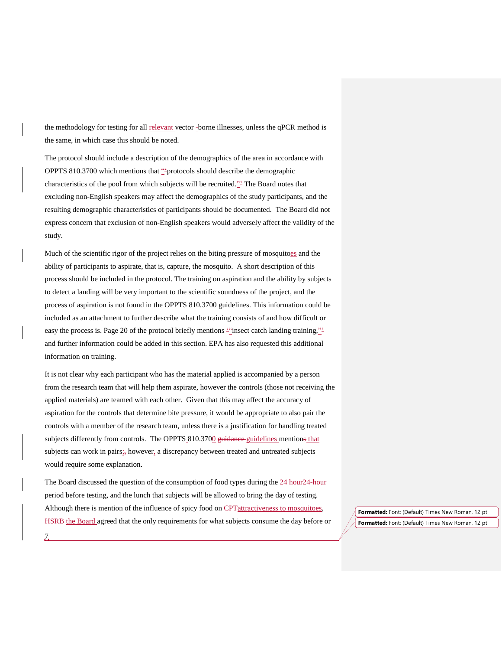the methodology for testing for all relevant vector -borne illnesses, unless the qPCR method is the same, in which case this should be noted.

The protocol should include a description of the demographics of the area in accordance with OPPTS 810.3700 which mentions that "'protocols should describe the demographic characteristics of the pool from which subjects will be recruited."<sup>2</sup> The Board notes that excluding non-English speakers may affect the demographics of the study participants, and the resulting demographic characteristics of participants should be documented. The Board did not express concern that exclusion of non-English speakers would adversely affect the validity of the study.

Much of the scientific rigor of the project relies on the biting pressure of mosquitoes and the ability of participants to aspirate, that is, capture, the mosquito. A short description of this process should be included in the protocol. The training on aspiration and the ability by subjects to detect a landing will be very important to the scientific soundness of the project, and the process of aspiration is not found in the OPPTS 810.3700 guidelines. This information could be included as an attachment to further describe what the training consists of and how difficult or easy the process is. Page 20 of the protocol briefly mentions "insect catch landing training," and further information could be added in this section. EPA has also requested this additional information on training.

It is not clear why each participant who has the material applied is accompanied by a person from the research team that will help them aspirate, however the controls (those not receiving the applied materials) are teamed with each other. Given that this may affect the accuracy of aspiration for the controls that determine bite pressure, it would be appropriate to also pair the controls with a member of the research team, unless there is a justification for handling treated subjects differently from controls. The OPPTS 810.3700 guidance guidelines mentions that subjects can work in pairs<sub>i</sub>, however, a discrepancy between treated and untreated subjects would require some explanation.

The Board discussed the question of the consumption of food types during the 24 hour24-hour period before testing, and the lunch that subjects will be allowed to bring the day of testing. Although there is mention of the influence of spicy food on CPT attractiveness to mosquitoes, **HSRB** the Board agreed that the only requirements for what subjects consume the day before or

 $\frac{7}{2}$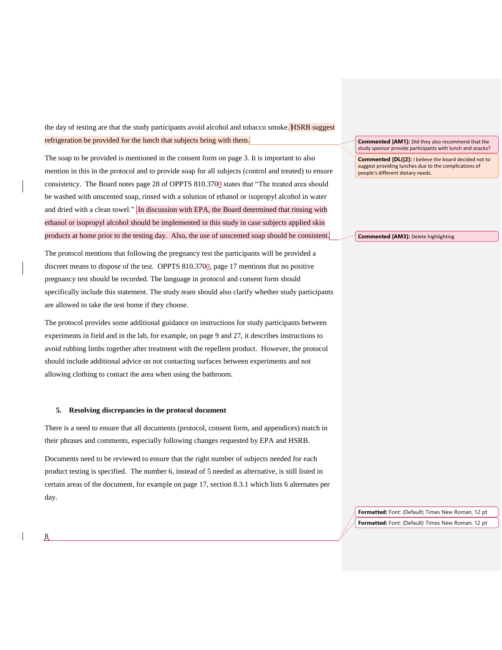the day of testing are that the study participants avoid alcohol and tobacco smoke. **HSRB** suggest refrigeration be provided for the lunch that subjects bring with them.

The soap to be provided is mentioned in the consent form on page 3. It is important to also mention in this in the protocol and to provide soap for all subjects (control and treated) to ensure consistency. The Board notes page 28 of OPPTS 810.3700 states that "The treated area should be washed with unscented soap, rinsed with a solution of ethanol or isopropyl alcohol in water and dried with a clean towel." In discussion with EPA, the Board determined that rinsing with ethanol or isopropyl alcohol should be implemented in this study in case subjects applied skin products at home prior to the testing day. Also, the use of unscented soap should be consistent.

The protocol mentions that following the pregnancy test the participants will be provided a discreet means to dispose of the test. OPPTS 810.3700, page 17 mentions that no positive pregnancy test should be recorded. The language in protocol and consent form should specifically include this statement. The study team should also clarify whether study participants are allowed to take the test home if they choose.

The protocol provides some additional guidance on instructions for study participants between experiments in field and in the lab, for example, on page 9 and 27, it describes instructions to avoid rubbing limbs together after treatment with the repellent product. However, the protocol should include additional advice on not contacting surfaces between experiments and not allowing clothing to contact the area when using the bathroom.

#### **5. Resolving discrepancies in the protocol document**

8

There is a need to ensure that all documents (protocol, consent form, and appendices) match in their phrases and comments, especially following changes requested by EPA and HSRB.

Documents need to be reviewed to ensure that the right number of subjects needed for each product testing is specified. The number 6, instead of 5 needed as alternative, is still listed in certain areas of the document, for example on page 17, section 8.3.1 which lists 6 alternates per day.

**Commented [AM1]:** Did they also recommend that the study sponsor provide participants with lunch and snacks?

**Commented [DL([2]:** I believe the board decided not to suggest providing lunches due to the complications of people's different dietary needs.

**Commented [AM3]:** Delete highlighting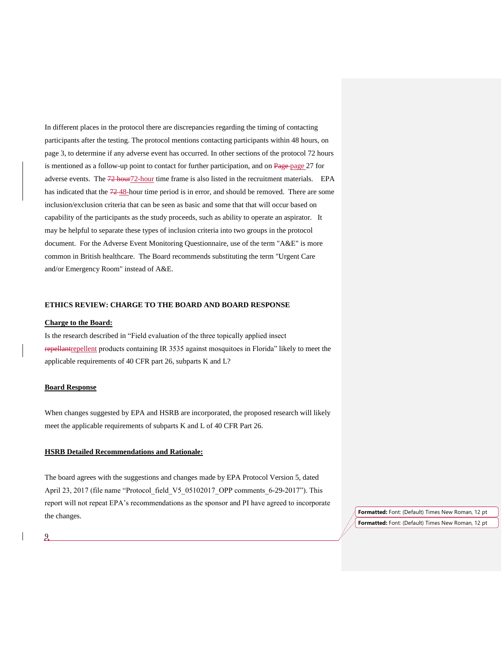In different places in the protocol there are discrepancies regarding the timing of contacting participants after the testing. The protocol mentions contacting participants within 48 hours, on page 3, to determine if any adverse event has occurred. In other sections of the protocol 72 hours is mentioned as a follow-up point to contact for further participation, and on Page page 27 for adverse events. The 72 hour72-hour time frame is also listed in the recruitment materials. EPA has indicated that the  $72-48$ -hour time period is in error, and should be removed. There are some inclusion/exclusion criteria that can be seen as basic and some that that will occur based on capability of the participants as the study proceeds, such as ability to operate an aspirator. It may be helpful to separate these types of inclusion criteria into two groups in the protocol document. For the Adverse Event Monitoring Questionnaire, use of the term "A&E" is more common in British healthcare. The Board recommends substituting the term "Urgent Care and/or Emergency Room" instead of A&E.

### **ETHICS REVIEW: CHARGE TO THE BOARD AND BOARD RESPONSE**

#### **Charge to the Board:**

Is the research described in "Field evaluation of the three topically applied insect repellantrepellent products containing IR 3535 against mosquitoes in Florida" likely to meet the applicable requirements of 40 CFR part 26, subparts K and L?

## **Board Response**

When changes suggested by EPA and HSRB are incorporated, the proposed research will likely meet the applicable requirements of subparts K and L of 40 CFR Part 26.

## **HSRB Detailed Recommendations and Rationale:**

The board agrees with the suggestions and changes made by EPA Protocol Version 5, dated April 23, 2017 (file name "Protocol field V5 05102017 OPP comments 6-29-2017"). This report will not repeat EPA's recommendations as the sponsor and PI have agreed to incorporate the changes.

**Formatted:** Font: (Default) Times New Roman, 12 pt **Formatted:** Font: (Default) Times New Roman, 12 pt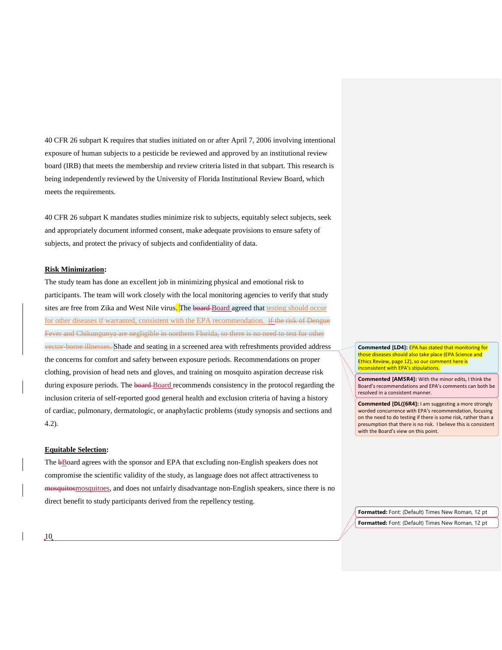40 CFR 26 subpart K requires that studies initiated on or after April 7, 2006 involving intentional exposure of human subjects to a pesticide be reviewed and approved by an institutional review board (IRB) that meets the membership and review criteria listed in that subpart. This research is being independently reviewed by the University of Florida Institutional Review Board, which meets the requirements.

40 CFR 26 subpart K mandates studies minimize risk to subjects, equitably select subjects, seek and appropriately document informed consent, make adequate provisions to ensure safety of subjects, and protect the privacy of subjects and confidentiality of data.

## **Risk Minimization:**

The study team has done an excellent job in minimizing physical and emotional risk to participants. The team will work closely with the local monitoring agencies to verify that study sites are free from Zika and West Nile virus. The board Board agreed that testing should occur for other diseases if warranted, consistent with the EPA recommendation. if the risk of Dengue Fever and Chikungunya are negligible in northern Florida, so there is no need to test for other vector-borne illnesses. Shade and seating in a screened area with refreshments provided address the concerns for comfort and safety between exposure periods. Recommendations on proper clothing, provision of head nets and gloves, and training on mosquito aspiration decrease risk during exposure periods. The board-Board recommends consistency in the protocol regarding the inclusion criteria of self-reported good general health and exclusion criteria of having a history of cardiac, pulmonary, dermatologic, or anaphylactic problems (study synopsis and sections and 4.2).

#### **Equitable Selection:**

The bBoard agrees with the sponsor and EPA that excluding non-English speakers does not compromise the scientific validity of the study, as language does not affect attractiveness to mosquitosmosquitoes, and does not unfairly disadvantage non-English speakers, since there is no direct benefit to study participants derived from the repellency testing.

**Commented [LD4]:** EPA has stated that monitoring for those diseases should also take place (EPA Science and Ethics Review, page 12), so our comment here is inconsistent with EPA's stipulations.

**Commented [AM5R4]:** With the minor edits, I think the Board's recommendations and EPA's comments can both be resolved in a consistent manner.

**Commented [DL([6R4]:** I am suggesting a more strongly worded concurrence with EPA's recommendation, focusing on the need to do testing if there is some risk, rather than a presumption that there is no risk. I believe this is consistent with the Board's view on this point.

**Formatted:** Font: (Default) Times New Roman, 12 pt **Formatted:** Font: (Default) Times New Roman, 12 pt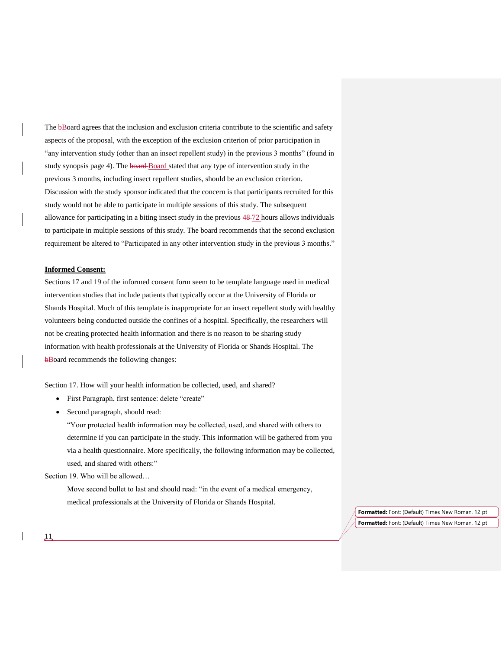The bBoard agrees that the inclusion and exclusion criteria contribute to the scientific and safety aspects of the proposal, with the exception of the exclusion criterion of prior participation in "any intervention study (other than an insect repellent study) in the previous 3 months" (found in study synopsis page 4). The board-Board stated that any type of intervention study in the previous 3 months, including insect repellent studies, should be an exclusion criterion. Discussion with the study sponsor indicated that the concern is that participants recruited for this study would not be able to participate in multiple sessions of this study. The subsequent allowance for participating in a biting insect study in the previous  $48\text{-}72$  hours allows individuals to participate in multiple sessions of this study. The board recommends that the second exclusion requirement be altered to "Participated in any other intervention study in the previous 3 months."

## **Informed Consent:**

Sections 17 and 19 of the informed consent form seem to be template language used in medical intervention studies that include patients that typically occur at the University of Florida or Shands Hospital. Much of this template is inappropriate for an insect repellent study with healthy volunteers being conducted outside the confines of a hospital. Specifically, the researchers will not be creating protected health information and there is no reason to be sharing study information with health professionals at the University of Florida or Shands Hospital. The bBoard recommends the following changes:

Section 17. How will your health information be collected, used, and shared?

- First Paragraph, first sentence: delete "create"
- Second paragraph, should read:

"Your protected health information may be collected, used, and shared with others to determine if you can participate in the study. This information will be gathered from you via a health questionnaire. More specifically, the following information may be collected, used, and shared with others:"

Section 19. Who will be allowed…

Move second bullet to last and should read: "in the event of a medical emergency, medical professionals at the University of Florida or Shands Hospital.

> **Formatted:** Font: (Default) Times New Roman, 12 pt **Formatted:** Font: (Default) Times New Roman, 12 pt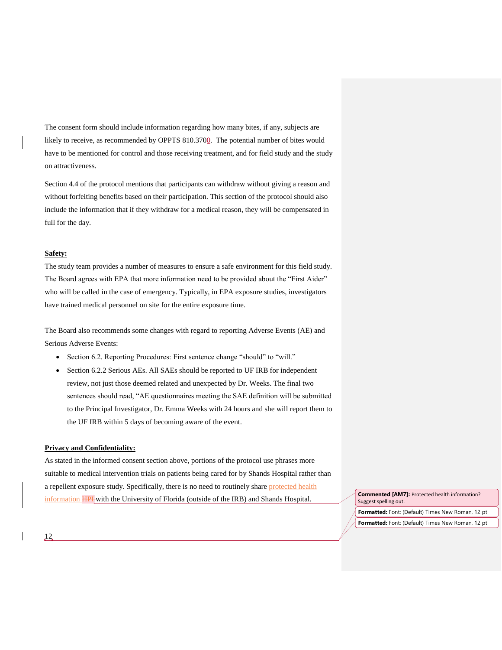The consent form should include information regarding how many bites, if any, subjects are likely to receive, as recommended by OPPTS 810.3700. The potential number of bites would have to be mentioned for control and those receiving treatment, and for field study and the study on attractiveness.

Section 4.4 of the protocol mentions that participants can withdraw without giving a reason and without forfeiting benefits based on their participation. This section of the protocol should also include the information that if they withdraw for a medical reason, they will be compensated in full for the day.

# **Safety:**

The study team provides a number of measures to ensure a safe environment for this field study. The Board agrees with EPA that more information need to be provided about the "First Aider" who will be called in the case of emergency. Typically, in EPA exposure studies, investigators have trained medical personnel on site for the entire exposure time.

The Board also recommends some changes with regard to reporting Adverse Events (AE) and Serious Adverse Events:

- Section 6.2. Reporting Procedures: First sentence change "should" to "will."
- Section 6.2.2 Serious AEs. All SAEs should be reported to UF IRB for independent review, not just those deemed related and unexpected by Dr. Weeks. The final two sentences should read, "AE questionnaires meeting the SAE definition will be submitted to the Principal Investigator, Dr. Emma Weeks with 24 hours and she will report them to the UF IRB within 5 days of becoming aware of the event.

#### **Privacy and Confidentiality:**

As stated in the informed consent section above, portions of the protocol use phrases more suitable to medical intervention trials on patients being cared for by Shands Hospital rather than a repellent exposure study. Specifically, there is no need to routinely share protected health information HPI with the University of Florida (outside of the IRB) and Shands Hospital.

**Formatted:** Font: (Default) Times New Roman, 12 pt **Formatted:** Font: (Default) Times New Roman, 12 pt **Commented [AM7]:** Protected health information? Suggest spelling out.